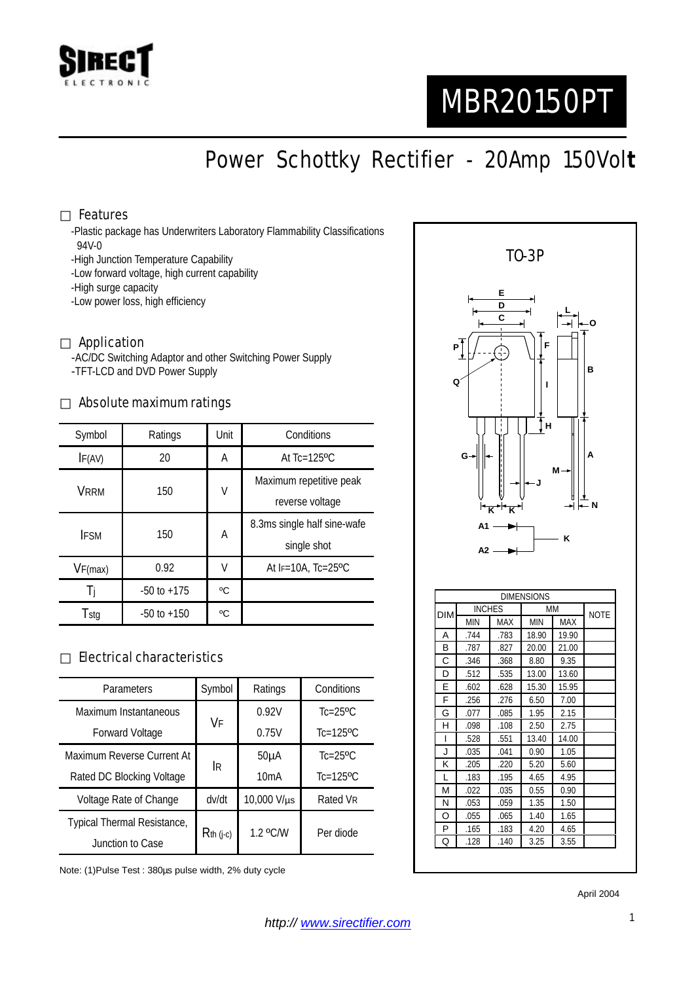

# MBR20150PT

## Power Schottky Rectifier - 20Amp 150Vol**t**

#### Features

-Plastic package has Underwriters Laboratory Flammability Classifications 94V-0

-High Junction Temperature Capability

-Low forward voltage, high current capability

-High surge capacity

-Low power loss, high efficiency

#### Application

-AC/DC Switching Adaptor and other Switching Power Supply -TFT-LCD and DVD Power Supply

#### Absolute maximum ratings

| Symbol      | Ratings         | Unit | Conditions                   |  |
|-------------|-----------------|------|------------------------------|--|
| IF(AV)      | 20              | Α    | At $Tc=125$ <sup>o</sup> $C$ |  |
| <b>VRRM</b> | 150             | V    | Maximum repetitive peak      |  |
|             |                 |      | reverse voltage              |  |
| <b>IFSM</b> | 150             | Α    | 8.3ms single half sine-wafe  |  |
|             |                 |      | single shot                  |  |
| VF(max)     | 0.92            | V    | At $F=10A$ , Tc=25°C         |  |
| -li         | $-50$ to $+175$ | °C   |                              |  |
| Tstg        | $-50$ to $+150$ | °C   |                              |  |

#### Electrical characteristics

| Parameters                  | Symbol      | Ratings           | Conditions                |  |
|-----------------------------|-------------|-------------------|---------------------------|--|
| Maximum Instantaneous       | VF          | 0.92V             | $Tc=25$ <sup>o</sup> $C$  |  |
| <b>Forward Voltage</b>      |             | 0.75V             | $Tc=125$ <sup>o</sup> $C$ |  |
| Maximum Reverse Current At  | IR.         | 50 <sub>µ</sub> A | $Tc=25$ <sup>o</sup> $C$  |  |
| Rated DC Blocking Voltage   |             | 10mA              | $Tc=125$ <sup>o</sup> $C$ |  |
| Voltage Rate of Change      | dv/dt       | 10,000 V/µs       | Rated VR                  |  |
| Typical Thermal Resistance, |             | $1.2$ °C/W        | Per diode                 |  |
| Junction to Case            | $Rth$ (j-c) |                   |                           |  |

Note: (1)Pulse Test : 380µs pulse width, 2% duty cycle



| LJIME NƏIUNƏ |               |      |            |             |  |  |  |  |
|--------------|---------------|------|------------|-------------|--|--|--|--|
| <b>DIM</b>   | <b>INCHES</b> |      | <b>MM</b>  | <b>NOTE</b> |  |  |  |  |
|              | <b>MIN</b>    | MAX  | <b>MIN</b> | <b>MAX</b>  |  |  |  |  |
| A            | .744          | .783 | 18.90      | 19.90       |  |  |  |  |
| B            | .787          | .827 | 20.00      | 21.00       |  |  |  |  |
| С            | .346          | .368 | 8.80       | 9.35        |  |  |  |  |
| D            | .512          | .535 | 13.00      | 13.60       |  |  |  |  |
| E            | .602          | .628 | 15.30      | 15.95       |  |  |  |  |
| F            | .256          | .276 | 6.50       | 7.00        |  |  |  |  |
| G            | .077          | .085 | 1.95       | 2.15        |  |  |  |  |
| н            | .098          | .108 | 2.50       | 2.75        |  |  |  |  |
| $\mathsf{I}$ | .528          | .551 | 13.40      | 14.00       |  |  |  |  |
| J            | .035          | .041 | 0.90       | 1.05        |  |  |  |  |
| K            | .205          | .220 | 5.20       | 5.60        |  |  |  |  |
| L            | .183          | .195 | 4.65       | 4.95        |  |  |  |  |
| М            | .022          | .035 | 0.55       | 0.90        |  |  |  |  |
| N            | .053          | .059 | 1.35       | 1.50        |  |  |  |  |
| O            | .055          | .065 | 1.40       | 1.65        |  |  |  |  |
| P            | .165          | .183 | 4.20       | 4.65        |  |  |  |  |
| Q            | .128          | .140 | 3.25       | 3.55        |  |  |  |  |

April 2004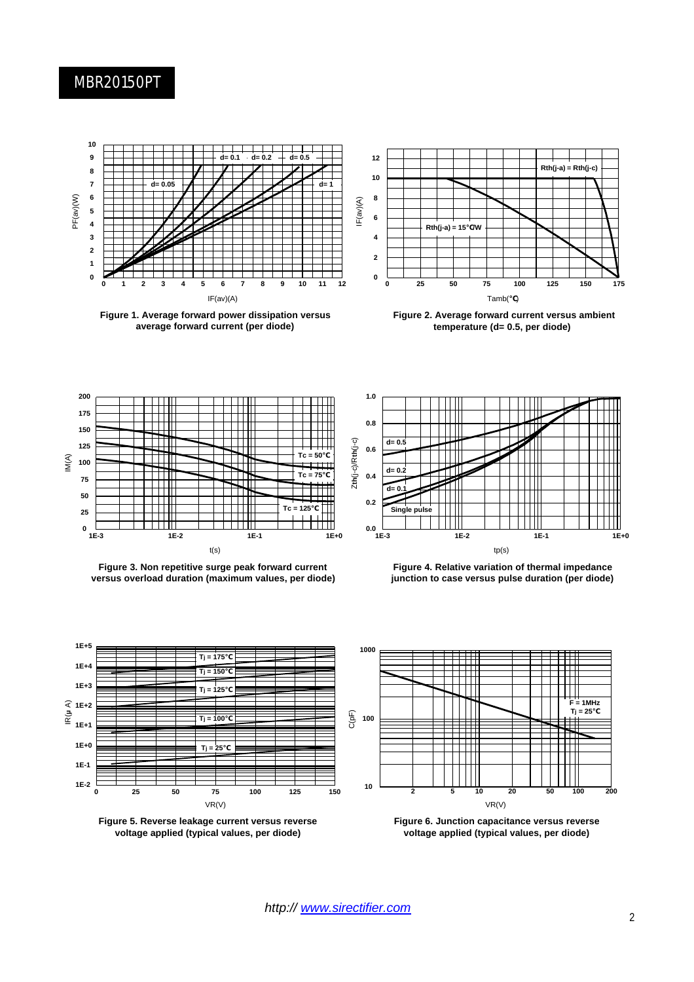#### MBR20150PT



**Figure 1. Average forward power dissipation versus average forward current (per diode)**



**Figure 2. Average forward current versus ambient temperature (d= 0.5, per diode)**



**Figure 3. Non repetitive surge peak forward current versus overload duration (maximum values, per diode)**



**Figure 4. Relative variation of thermal impedance junction to case versus pulse duration (per diode)**



**Figure 5. Reverse leakage current versus reverse voltage applied (typical values, per diode)**



**Figure 6. Junction capacitance versus reverse voltage applied (typical values, per diode)**